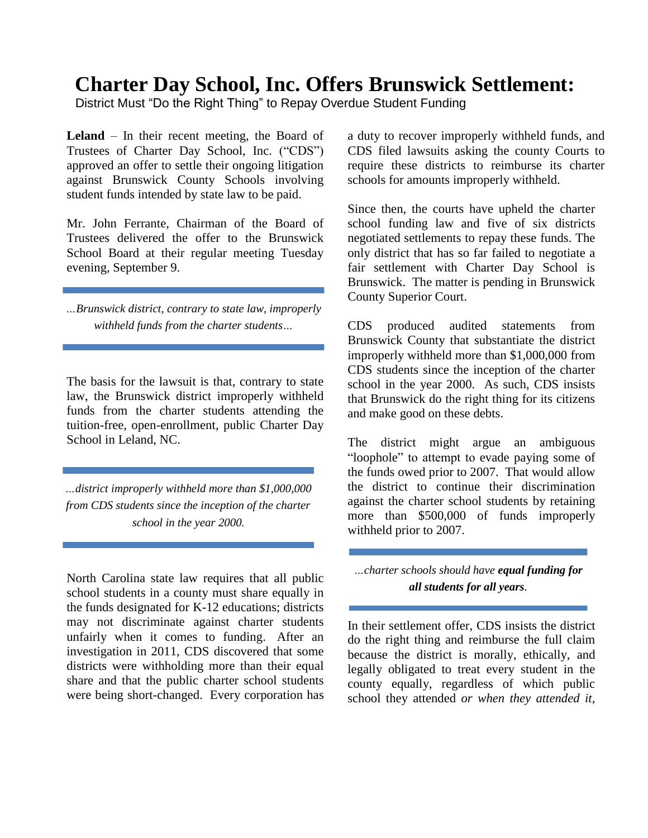## **Charter Day School, Inc. Offers Brunswick Settlement:**

District Must "Do the Right Thing" to Repay Overdue Student Funding

**Leland** – In their recent meeting, the Board of Trustees of Charter Day School, Inc. ("CDS") approved an offer to settle their ongoing litigation against Brunswick County Schools involving student funds intended by state law to be paid.

Mr. John Ferrante, Chairman of the Board of Trustees delivered the offer to the Brunswick School Board at their regular meeting Tuesday evening, September 9.

*…Brunswick district, contrary to state law, improperly withheld funds from the charter students…*

The basis for the lawsuit is that, contrary to state law, the Brunswick district improperly withheld funds from the charter students attending the tuition-free, open-enrollment, public Charter Day School in Leland, NC.

*…district improperly withheld more than \$1,000,000 from CDS students since the inception of the charter school in the year 2000.*

North Carolina state law requires that all public school students in a county must share equally in the funds designated for K-12 educations; districts may not discriminate against charter students unfairly when it comes to funding. After an investigation in 2011, CDS discovered that some districts were withholding more than their equal share and that the public charter school students were being short-changed. Every corporation has

a duty to recover improperly withheld funds, and CDS filed lawsuits asking the county Courts to require these districts to reimburse its charter schools for amounts improperly withheld.

Since then, the courts have upheld the charter school funding law and five of six districts negotiated settlements to repay these funds. The only district that has so far failed to negotiate a fair settlement with Charter Day School is Brunswick. The matter is pending in Brunswick County Superior Court.

CDS produced audited statements from Brunswick County that substantiate the district improperly withheld more than \$1,000,000 from CDS students since the inception of the charter school in the year 2000. As such, CDS insists that Brunswick do the right thing for its citizens and make good on these debts.

The district might argue an ambiguous "loophole" to attempt to evade paying some of the funds owed prior to 2007. That would allow the district to continue their discrimination against the charter school students by retaining more than \$500,000 of funds improperly withheld prior to 2007.

## *…charter schools should have equal funding for all students for all years.*

In their settlement offer, CDS insists the district do the right thing and reimburse the full claim because the district is morally, ethically, and legally obligated to treat every student in the county equally, regardless of which public school they attended *or when they attended it*,